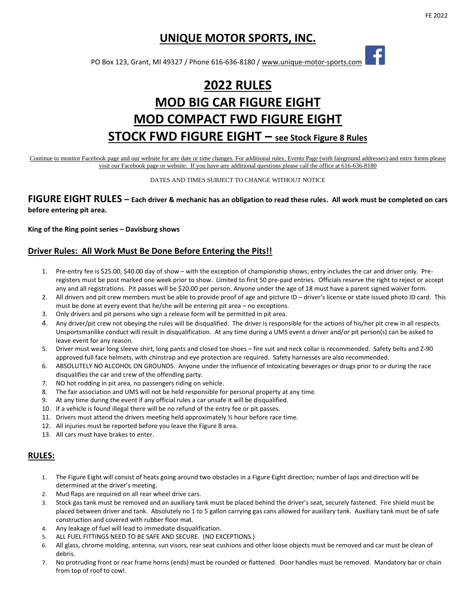f

# **UNIQUE MOTOR SPORTS, INC.**

PO Box 123, Grant, MI 49327 / Phone 616-636-8180 / www.unique-motor-sports.com

# **2022 RULES MOD BIG CAR FIGURE EIGHT MOD COMPACT FWD FIGURE EIGHT STOCK FWD FIGURE EIGHT – see Stock Figure 8 Rules**

Continue to monitor Facebook page and our website for any date or time changes. For additional rules, Events Page (with fairground addresses) and entry forms please visit our Facebook page or website. If you have any additional questions please call the office at 616-636-8180

DATES AND TIMES SUBJECT TO CHANGE WITHOUT NOTICE

### **FIGURE EIGHT RULES – Each driver & mechanic has an obligation to read these rules. All work must be completed on cars before entering pit area.**

**King of the Ring point series – Davisburg shows**

#### **Driver Rules: All Work Must Be Done Before Entering the Pits!!**

- 1. Pre-entry fee is \$25.00, \$40.00 day of show with the exception of championship shows; entry includes the car and driver only. Preregisters must be post marked one week prior to show. Limited to first 50 pre-paid entries. Officials reserve the right to reject or accept any and all registrations. Pit passes will be \$20.00 per person. Anyone under the age of 18 must have a parent signed waiver form.
- 2. All drivers and pit crew members must be able to provide proof of age and picture ID driver's license or state issued photo ID card. This must be done at every event that he/she will be entering pit area – no exceptions.
- 3. Only drivers and pit persons who sign a release form will be permitted in pit area.
- 4. Any driver/pit crew not obeying the rules will be disqualified. The driver is responsible for the actions of his/her pit crew in all respects. Unsportsmanlike conduct will result in disqualification. At any time during a UMS event a driver and/or pit person(s) can be asked to leave event for any reason.
- 5. Driver must wear long sleeve shirt, long pants and closed toe shoes fire suit and neck collar is recommended. Safety belts and Z-90 approved full face helmets, with chinstrap and eye protection are required. Safety harnesses are also recommended.
- 6. ABSOLUTELY NO ALCOHOL ON GROUNDS. Anyone under the influence of intoxicating beverages or drugs prior to or during the race disqualifies the car and crew of the offending party.
- 7. NO hot rodding in pit area, no passengers riding on vehicle.
- 8. The fair association and UMS will not be held responsible for personal property at any time.
- 9. At any time during the event if any official rules a car unsafe it will be disqualified.
- 10. If a vehicle is found illegal there will be no refund of the entry fee or pit passes.
- 11. Drivers must attend the drivers meeting held approximately ½ hour before race time.
- 12. All injuries must be reported before you leave the Figure 8 area.
- 13. All cars must have brakes to enter.

#### **RULES:**

- 1. The Figure Eight will consist of heats going around two obstacles in a Figure Eight direction; number of laps and direction will be determined at the driver's meeting.
- 2. Mud flaps are required on all rear wheel drive cars.
- 3. Stock gas tank must be removed and an auxiliary tank must be placed behind the driver's seat, securely fastened. Fire shield must be placed between driver and tank. Absolutely no 1 to 5 gallon carrying gas cans allowed for auxiliary tank. Auxiliary tank must be of safe construction and covered with rubber floor mat.
- 4. Any leakage of fuel will lead to immediate disqualification.
- 5. ALL FUEL FITTINGS NEED TO BE SAFE AND SECURE. (NO EXCEPTIONS.)
- 6. All glass, chrome molding, antenna, sun visors, rear seat cushions and other loose objects must be removed and car must be clean of debris.
- 7. No protruding front or rear frame horns (ends) must be rounded or flattened. Door handles must be removed. Mandatory bar or chain from top of roof to cowl.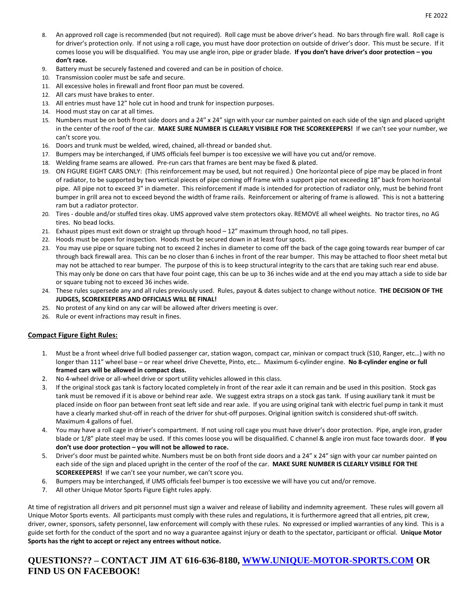- 8. An approved roll cage is recommended (but not required). Roll cage must be above driver's head. No bars through fire wall. Roll cage is for driver's protection only. If not using a roll cage, you must have door protection on outside of driver's door. This must be secure. If it comes loose you will be disqualified. You may use angle iron, pipe or grader blade. **If you don't have driver's door protection – you don't race.**
- 9. Battery must be securely fastened and covered and can be in position of choice.
- 10. Transmission cooler must be safe and secure.
- 11. All excessive holes in firewall and front floor pan must be covered.
- 12. All cars must have brakes to enter.
- 13. All entries must have 12" hole cut in hood and trunk for inspection purposes.
- 14. Hood must stay on car at all times.
- 15. Numbers must be on both front side doors and a 24" x 24" sign with your car number painted on each side of the sign and placed upright in the center of the roof of the car. **MAKE SURE NUMBER IS CLEARLY VISIBILE FOR THE SCOREKEEPERS!** If we can't see your number, we can't score you.
- 16. Doors and trunk must be welded, wired, chained, all-thread or banded shut.
- 17. Bumpers may be interchanged, if UMS officials feel bumper is too excessive we will have you cut and/or remove.
- 18. Welding frame seams are allowed. Pre-run cars that frames are bent may be fixed & plated.
- 19. ON FIGURE EIGHT CARS ONLY: (This reinforcement may be used, but not required.) One horizontal piece of pipe may be placed in front of radiator, to be supported by two vertical pieces of pipe coming off frame with a support pipe not exceeding 18" back from horizontal pipe. All pipe not to exceed 3" in diameter. This reinforcement if made is intended for protection of radiator only, must be behind front bumper in grill area not to exceed beyond the width of frame rails. Reinforcement or altering of frame is allowed. This is not a battering ram but a radiator protector.
- 20. Tires double and/or stuffed tires okay. UMS approved valve stem protectors okay. REMOVE all wheel weights. No tractor tires, no AG tires. No bead locks.
- 21. Exhaust pipes must exit down or straight up through hood 12" maximum through hood, no tall pipes.
- 22. Hoods must be open for inspection. Hoods must be secured down in at least four spots.
- 23. You may use pipe or square tubing not to exceed 2 inches in diameter to come off the back of the cage going towards rear bumper of car through back firewall area. This can be no closer than 6 inches in front of the rear bumper. This may be attached to floor sheet metal but may not be attached to rear bumper. The purpose of this is to keep structural integrity to the cars that are taking such rear end abuse. This may only be done on cars that have four point cage, this can be up to 36 inches wide and at the end you may attach a side to side bar or square tubing not to exceed 36 inches wide.
- 24. These rules supersede any and all rules previously used. Rules, payout & dates subject to change without notice. **THE DECISION OF THE JUDGES, SCOREKEEPERS AND OFFICIALS WILL BE FINAL!**
- 25. No protest of any kind on any car will be allowed after drivers meeting is over.
- 26. Rule or event infractions may result in fines.

#### **Compact Figure Eight Rules:**

- 1. Must be a front wheel drive full bodied passenger car, station wagon, compact car, minivan or compact truck (S10, Ranger, etc…) with no longer than 111" wheel base – or rear wheel drive Chevette, Pinto, etc… Maximum 6-cylinder engine. **No 8-cylinder engine or full framed cars will be allowed in compact class.**
- 2. No 4-wheel drive or all-wheel drive or sport utility vehicles allowed in this class.
- 3. If the original stock gas tank is factory located completely in front of the rear axle it can remain and be used in this position. Stock gas tank must be removed if it is above or behind rear axle. We suggest extra straps on a stock gas tank. If using auxiliary tank it must be placed inside on floor pan between front seat left side and rear axle. If you are using original tank with electric fuel pump in tank it must have a clearly marked shut-off in reach of the driver for shut-off purposes. Original ignition switch is considered shut-off switch. Maximum 4 gallons of fuel.
- 4. You may have a roll cage in driver's compartment. If not using roll cage you must have driver's door protection. Pipe, angle iron, grader blade or 1/8" plate steel may be used. If this comes loose you will be disqualified. C channel & angle iron must face towards door. **If you don't use door protection – you will not be allowed to race.**
- 5. Driver's door must be painted white. Numbers must be on both front side doors and a 24" x 24" sign with your car number painted on each side of the sign and placed upright in the center of the roof of the car. **MAKE SURE NUMBER IS CLEARLY VISIBLE FOR THE SCOREKEEPERS!** If we can't see your number, we can't score you.
- 6. Bumpers may be interchanged, if UMS officials feel bumper is too excessive we will have you cut and/or remove.
- 7. All other Unique Motor Sports Figure Eight rules apply.

At time of registration all drivers and pit personnel must sign a waiver and release of liability and indemnity agreement. These rules will govern all Unique Motor Sports events. All participants must comply with these rules and regulations, it is furthermore agreed that all entries, pit crew, driver, owner, sponsors, safety personnel, law enforcement will comply with these rules. No expressed or implied warranties of any kind. This is a guide set forth for the conduct of the sport and no way a guarantee against injury or death to the spectator, participant or official. **Unique Motor Sports has the right to accept or reject any entrees without notice.**

## **QUESTIONS?? – CONTACT JIM AT 616-636-8180, [WWW.UNIQUE-MOTOR-SPORTS.COM](http://www.unique-motor-sports.com/) OR FIND US ON FACEBOOK!**